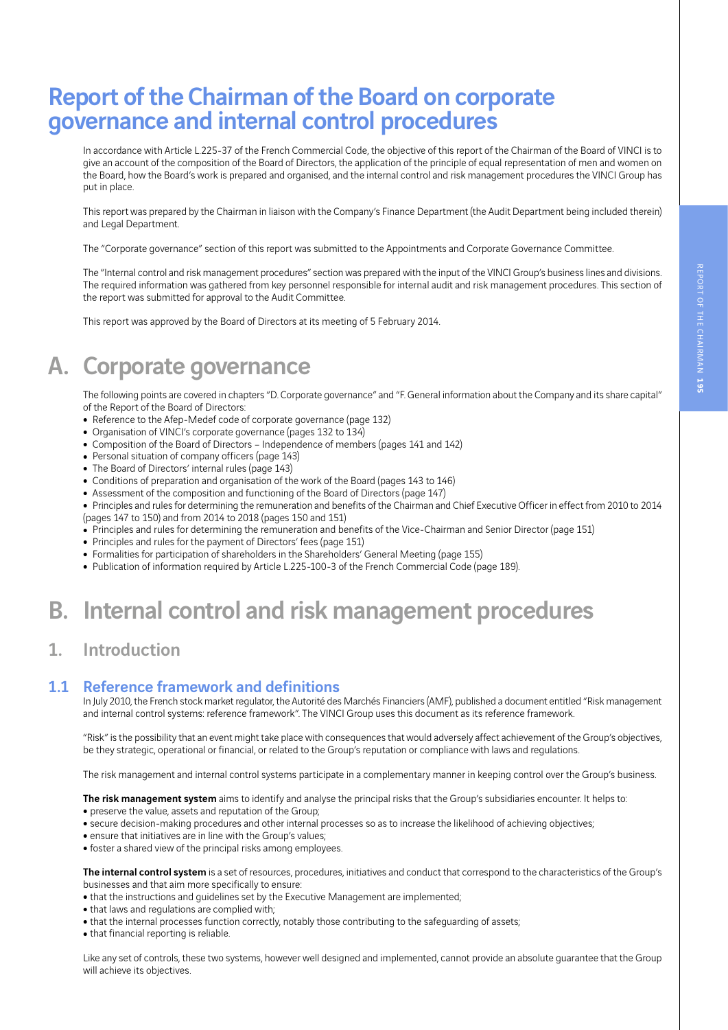# Report of the Chairman of the Board on corporate governance and internal control procedures

In accordance with Article L.225-37 of the French Commercial Code, the objective of this report of the Chairman of the Board of VINCI is to give an account of the composition of the Board of Directors, the application of the principle of equal representation of men and women on the Board, how the Board's work is prepared and organised, and the internal control and risk management procedures the VINCI Group has put in place.

This report was prepared by the Chairman in liaison with the Company's Finance Department (the Audit Department being included therein) and Legal Department.

The "Corporate governance" section of this report was submitted to the Appointments and Corporate Governance Committee.

The "Internal control and risk management procedures" section was prepared with the input of the VINCI Group's business lines and divisions. The required information was gathered from key personnel responsible for internal audit and risk management procedures. This section of the report was submitted for approval to the Audit Committee.

This report was approved by the Board of Directors at its meeting of 5 February 2014.

# A. Corporate governance

The following points are covered in chapters "D. Corporate governance" and "F. General information about the Company and its share capital" of the Report of the Board of Directors:

- Reference to the Afep-Medef code of corporate governance (page 132)
- Organisation of VINCI's corporate governance (pages 132 to 134)
- Composition of the Board of Directors Independence of members (pages 141 and 142)
- Personal situation of company officers (page 143)
- The Board of Directors' internal rules (page 143)
- Conditions of preparation and organisation of the work of the Board (pages 143 to 146)
- Assessment of the composition and functioning of the Board of Directors (page 147)
- Principles and rules for determining the remuneration and benefits of the Chairman and Chief Executive Officer in effect from 2010 to 2014 (pages 147 to 150) and from 2014 to 2018 (pages 150 and 151)

• Principles and rules for determining the remuneration and benefits of the Vice-Chairman and Senior Director (page 151)

- Principles and rules for the payment of Directors' fees (page 151)
- Formalities for participation of shareholders in the Shareholders' General Meeting (page 155)
- Publication of information required by Article L.225-100-3 of the French Commercial Code (page 189).

# B. Internal control and risk management procedures

## 1. Introduction

#### 1.1 Reference framework and definitions

In July 2010, the French stock market regulator, the Autorité des Marchés Financiers (AMF), published a document entitled "Risk management and internal control systems: reference framework". The VINCI Group uses this document as its reference framework.

"Risk" is the possibility that an event might take place with consequences that would adversely affect achievement of the Group's objectives, be they strategic, operational or financial, or related to the Group's reputation or compliance with laws and regulations.

The risk management and internal control systems participate in a complementary manner in keeping control over the Group's business.

The risk management system aims to identify and analyse the principal risks that the Group's subsidiaries encounter. It helps to:

- preserve the value, assets and reputation of the Group;
- <sup>ˇ</sup> secure decision-making procedures and other internal processes so as to increase the likelihood of achieving objectives;
- ensure that initiatives are in line with the Group's values;
- foster a shared view of the principal risks among employees.

The internal control system is a set of resources, procedures, initiatives and conduct that correspond to the characteristics of the Group's businesses and that aim more specifically to ensure:

- that the instructions and guidelines set by the Executive Management are implemented;
- that laws and regulations are complied with;
- that the internal processes function correctly, notably those contributing to the safequarding of assets;
- that financial reporting is reliable.

Like any set of controls, these two systems, however well designed and implemented, cannot provide an absolute guarantee that the Group will achieve its objectives.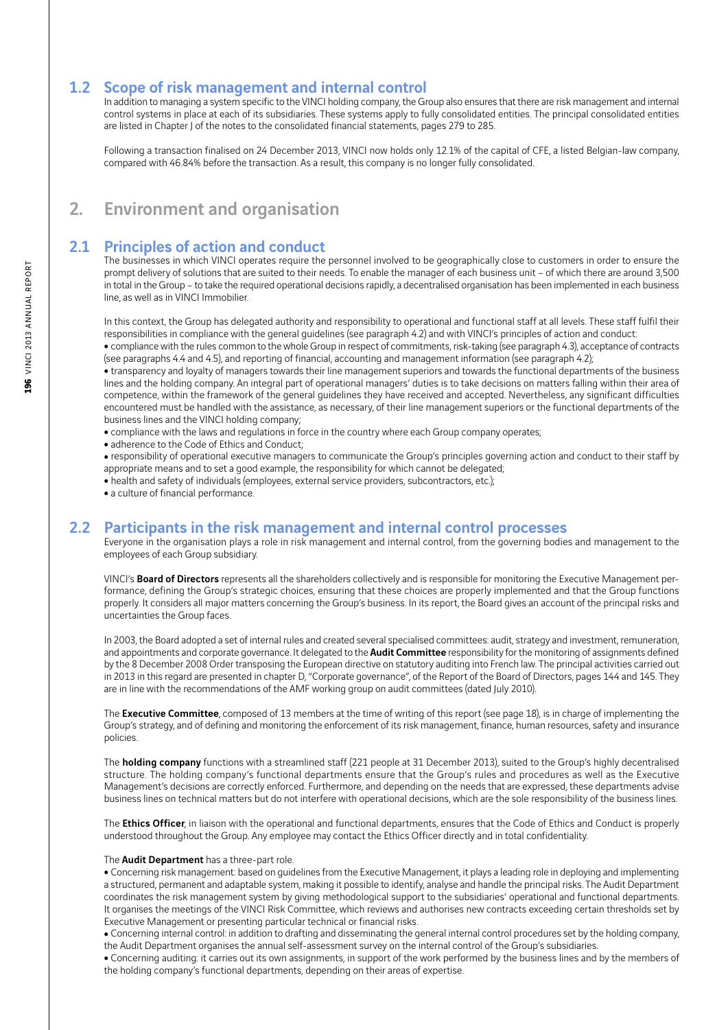#### 1.2 Scope of risk management and internal control

In addition to managing a system specific to the VINCI holding company, the Group also ensures that there are risk management and internal control systems in place at each of its subsidiaries. These systems apply to fully consolidated entities. The principal consolidated entities are listed in Chapter J of the notes to the consolidated financial statements, pages 279 to 285.

Following a transaction finalised on 24 December 2013, VINCI now holds only 12.1% of the capital of CFE, a listed Belgian-law company, compared with 46.84% before the transaction. As a result, this company is no longer fully consolidated.

## 2. Environment and organisation

#### 2.1 Principles of action and conduct

The businesses in which VINCI operates require the personnel involved to be geographically close to customers in order to ensure the prompt delivery of solutions that are suited to their needs. To enable the manager of each business unit – of which there are around 3,500 in total in the Group – to take the required operational decisions rapidly, a decentralised organisation has been implemented in each business line, as well as in VINCI Immobilier.

In this context, the Group has delegated authority and responsibility to operational and functional staff at all levels. These staff fulfil their responsibilities in compliance with the general guidelines (see paragraph 4.2) and with VINCI's principles of action and conduct:

• compliance with the rules common to the whole Group in respect of commitments, risk-taking (see paragraph 4.3), acceptance of contracts (see paragraphs 4.4 and 4.5), and reporting of financial, accounting and management information (see paragraph 4.2);

• transparency and loyalty of managers towards their line management superiors and towards the functional departments of the business lines and the holding company. An integral part of operational managers' duties is to take decisions on matters falling within their area of competence, within the framework of the general guidelines they have received and accepted. Nevertheless, any significant difficulties encountered must be handled with the assistance, as necessary, of their line management superiors or the functional departments of the business lines and the VINCI holding company;

- compliance with the laws and regulations in force in the country where each Group company operates;
- adherence to the Code of Ethics and Conduct;

<sup>ˇ</sup> responsibility of operational executive managers to communicate the Group's principles governing action and conduct to their staff by appropriate means and to set a good example, the responsibility for which cannot be delegated;

- health and safety of individuals (employees, external service providers, subcontractors, etc.);
- a culture of financial performance.

#### 2.2 Participants in the risk management and internal control processes

Everyone in the organisation plays a role in risk management and internal control, from the governing bodies and management to the employees of each Group subsidiary.

VINCI's Board of Directors represents all the shareholders collectively and is responsible for monitoring the Executive Management performance, defining the Group's strategic choices, ensuring that these choices are properly implemented and that the Group functions properly. It considers all major matters concerning the Group's business. In its report, the Board gives an account of the principal risks and uncertainties the Group faces.

In 2003, the Board adopted a set of internal rules and created several specialised committees: audit, strategy and investment, remuneration, and appointments and corporate governance. It delegated to the **Audit Committee** responsibility for the monitoring of assignments defined by the 8 December 2008 Order transposing the European directive on statutory auditing into French law. The principal activities carried out in 2013 in this regard are presented in chapter D, "Corporate governance", of the Report of the Board of Directors, pages 144 and 145. They are in line with the recommendations of the AMF working group on audit committees (dated July 2010).

The Executive Committee, composed of 13 members at the time of writing of this report (see page 18), is in charge of implementing the Group's strategy, and of defining and monitoring the enforcement of its risk management, finance, human resources, safety and insurance policies.

The **holding company** functions with a streamlined staff (221 people at 31 December 2013), suited to the Group's highly decentralised structure. The holding company's functional departments ensure that the Group's rules and procedures as well as the Executive Management's decisions are correctly enforced. Furthermore, and depending on the needs that are expressed, these departments advise business lines on technical matters but do not interfere with operational decisions, which are the sole responsibility of the business lines.

The Ethics Officer, in liaison with the operational and functional departments, ensures that the Code of Ethics and Conduct is properly understood throughout the Group. Any employee may contact the Ethics Officer directly and in total confidentiality.

#### The **Audit Department** has a three-part role.

• Concerning risk management: based on quidelines from the Executive Management, it plays a leading role in deploying and implementing a structured, permanent and adaptable system, making it possible to identify, analyse and handle the principal risks. The Audit Department coordinates the risk management system by giving methodological support to the subsidiaries' operational and functional departments. It organises the meetings of the VINCI Risk Committee, which reviews and authorises new contracts exceeding certain thresholds set by Executive Management or presenting particular technical or financial risks.

• Concerning internal control: in addition to drafting and disseminating the general internal control procedures set by the holding company, the Audit Department organises the annual self-assessment survey on the internal control of the Group's subsidiaries.

• Concerning auditing: it carries out its own assignments, in support of the work performed by the business lines and by the members of the holding company's functional departments, depending on their areas of expertise.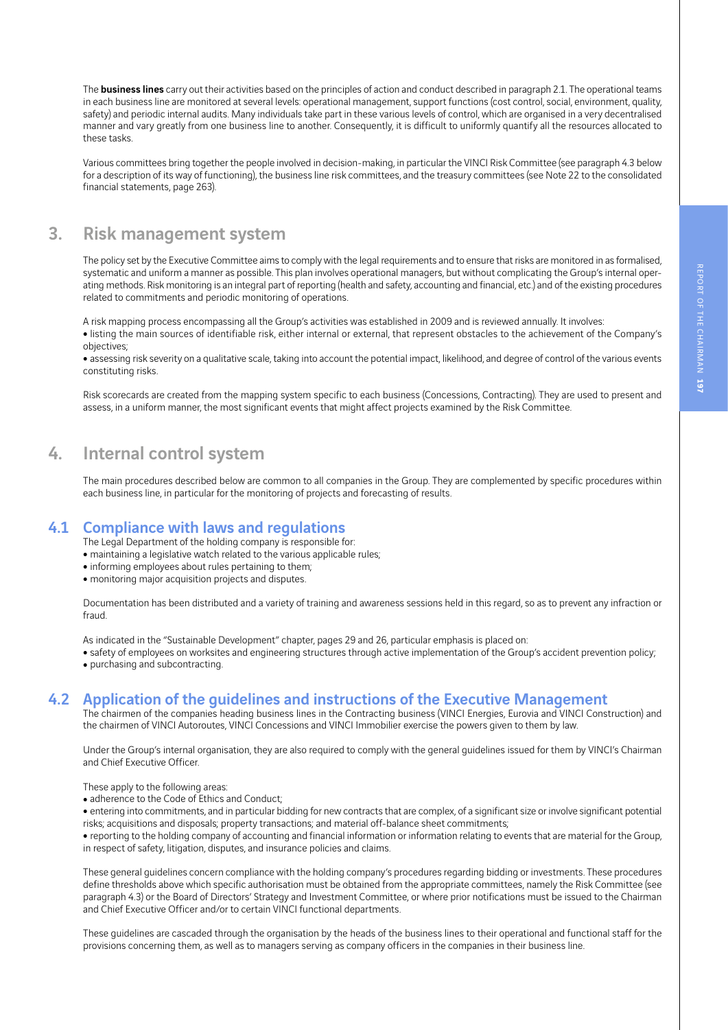The **business lines** carry out their activities based on the principles of action and conduct described in paragraph 2.1. The operational teams in each business line are monitored at several levels: operational management, support functions (cost control, social, environment, quality, safety) and periodic internal audits. Many individuals take part in these various levels of control, which are organised in a very decentralised manner and vary greatly from one business line to another. Consequently, it is difficult to uniformly quantify all the resources allocated to these tasks.

Various committees bring together the people involved in decision-making, in particular the VINCI Risk Committee (see paragraph 4.3 below for a description of its way of functioning), the business line risk committees, and the treasury committees (see Note 22 to the consolidated financial statements, page 263).

### 3. Risk management system

The policy set by the Executive Committee aims to comply with the legal requirements and to ensure that risks are monitored in as formalised, systematic and uniform a manner as possible. This plan involves operational managers, but without complicating the Group's internal operating methods. Risk monitoring is an integral part of reporting (health and safety, accounting and financial, etc.) and of the existing procedures related to commitments and periodic monitoring of operations.

A risk mapping process encompassing all the Group's activities was established in 2009 and is reviewed annually. It involves:

• listing the main sources of identifiable risk, either internal or external, that represent obstacles to the achievement of the Company's objectives;

• assessing risk severity on a qualitative scale, taking into account the potential impact, likelihood, and degree of control of the various events constituting risks.

Risk scorecards are created from the mapping system specific to each business (Concessions, Contracting). They are used to present and assess, in a uniform manner, the most significant events that might affect projects examined by the Risk Committee.

## 4. Internal control system

The main procedures described below are common to all companies in the Group. They are complemented by specific procedures within each business line, in particular for the monitoring of projects and forecasting of results.

#### 4.1 Compliance with laws and regulations

The Legal Department of the holding company is responsible for:

• maintaining a legislative watch related to the various applicable rules;

- informing employees about rules pertaining to them;
- monitoring major acquisition projects and disputes.

Documentation has been distributed and a variety of training and awareness sessions held in this regard, so as to prevent any infraction or fraud.

As indicated in the "Sustainable Development" chapter, pages 29 and 26, particular emphasis is placed on:

• safety of employees on worksites and engineering structures through active implementation of the Group's accident prevention policy; • purchasing and subcontracting.

#### 4.2 Application of the guidelines and instructions of the Executive Management

The chairmen of the companies heading business lines in the Contracting business (VINCI Energies, Eurovia and VINCI Construction) and the chairmen of VINCI Autoroutes, VINCI Concessions and VINCI Immobilier exercise the powers given to them by law.

Under the Group's internal organisation, they are also required to comply with the general guidelines issued for them by VINCI's Chairman and Chief Executive Officer.

These apply to the following areas:

• adherence to the Code of Ethics and Conduct;

• entering into commitments, and in particular bidding for new contracts that are complex, of a significant size or involve significant potential risks; acquisitions and disposals; property transactions; and material off-balance sheet commitments;

<sup>ˇ</sup> reporting to the holding company of accounting and financial information or information relating to events that are material for the Group, in respect of safety, litigation, disputes, and insurance policies and claims.

These general guidelines concern compliance with the holding company's procedures regarding bidding or investments. These procedures define thresholds above which specific authorisation must be obtained from the appropriate committees, namely the Risk Committee (see paragraph 4.3) or the Board of Directors' Strategy and Investment Committee, or where prior notifications must be issued to the Chairman and Chief Executive Officer and/or to certain VINCI functional departments.

These guidelines are cascaded through the organisation by the heads of the business lines to their operational and functional staff for the provisions concerning them, as well as to managers serving as company officers in the companies in their business line.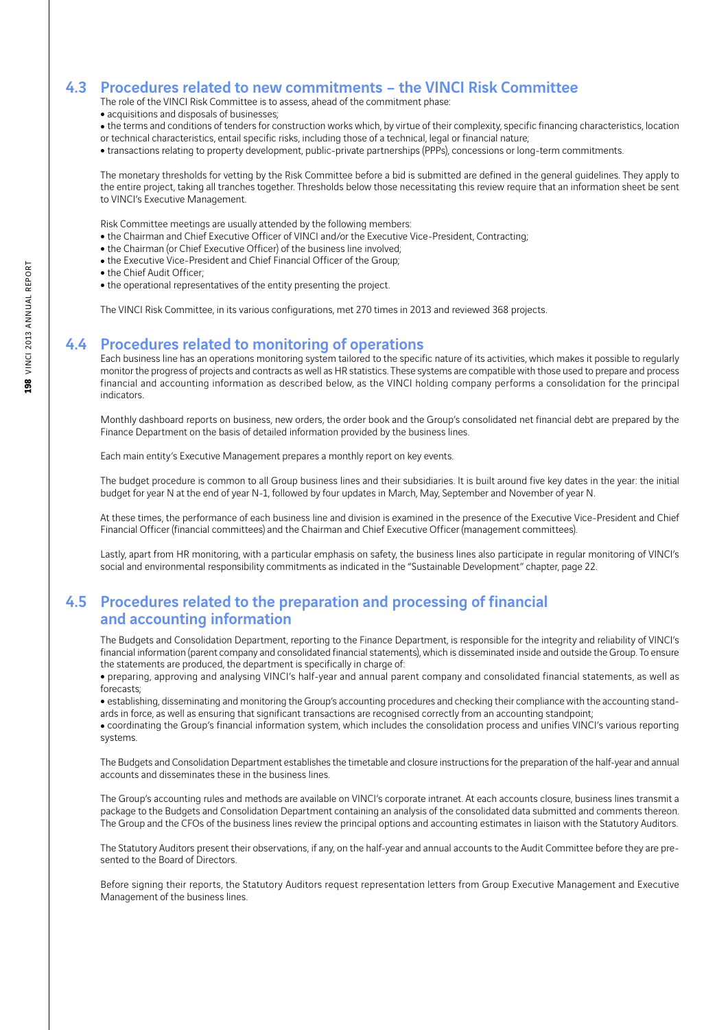#### 4.3 Procedures related to new commitments – the VINCI Risk Committee

- The role of the VINCI Risk Committee is to assess, ahead of the commitment phase:
- acquisitions and disposals of businesses;
- the terms and conditions of tenders for construction works which, by virtue of their complexity, specific financing characteristics, location or technical characteristics, entail specific risks, including those of a technical, legal or financial nature;
- transactions relating to property development, public-private partnerships (PPPs), concessions or long-term commitments.

The monetary thresholds for vetting by the Risk Committee before a bid is submitted are defined in the general guidelines. They apply to the entire project, taking all tranches together. Thresholds below those necessitating this review require that an information sheet be sent to VINCI's Executive Management.

Risk Committee meetings are usually attended by the following members:

- the Chairman and Chief Executive Officer of VINCI and/or the Executive Vice-President, Contracting;
- the Chairman (or Chief Executive Officer) of the business line involved;
- the Executive Vice-President and Chief Financial Officer of the Group;
- the Chief Audit Officer:
- the operational representatives of the entity presenting the project.

The VINCI Risk Committee, in its various configurations, met 270 times in 2013 and reviewed 368 projects.

#### 4.4 Procedures related to monitoring of operations

Each business line has an operations monitoring system tailored to the specific nature of its activities, which makes it possible to regularly monitor the progress of projects and contracts as well as HR statistics. These systems are compatible with those used to prepare and process financial and accounting information as described below, as the VINCI holding company performs a consolidation for the principal indicators.

Monthly dashboard reports on business, new orders, the order book and the Group's consolidated net financial debt are prepared by the Finance Department on the basis of detailed information provided by the business lines.

Each main entity's Executive Management prepares a monthly report on key events.

The budget procedure is common to all Group business lines and their subsidiaries. It is built around five key dates in the year: the initial budget for year N at the end of year N-1, followed by four updates in March, May, September and November of year N.

At these times, the performance of each business line and division is examined in the presence of the Executive Vice-President and Chief Financial Officer (financial committees) and the Chairman and Chief Executive Officer (management committees).

Lastly, apart from HR monitoring, with a particular emphasis on safety, the business lines also participate in regular monitoring of VINCI's social and environmental responsibility commitments as indicated in the "Sustainable Development" chapter, page 22.

#### 4.5 Procedures related to the preparation and processing of financial and accounting information

The Budgets and Consolidation Department, reporting to the Finance Department, is responsible for the integrity and reliability of VINCI's financial information (parent company and consolidated financial statements), which is disseminated inside and outside the Group. To ensure the statements are produced, the department is specifically in charge of:

• preparing, approving and analysing VINCI's half-year and annual parent company and consolidated financial statements, as well as forecasts;

• establishing, disseminating and monitoring the Group's accounting procedures and checking their compliance with the accounting standards in force, as well as ensuring that significant transactions are recognised correctly from an accounting standpoint;

<sup>ˇ</sup> coordinating the Group's financial information system, which includes the consolidation process and unifies VINCI's various reporting systems.

The Budgets and Consolidation Department establishes the timetable and closure instructions for the preparation of the half-year and annual accounts and disseminates these in the business lines.

The Group's accounting rules and methods are available on VINCI's corporate intranet. At each accounts closure, business lines transmit a package to the Budgets and Consolidation Department containing an analysis of the consolidated data submitted and comments thereon. The Group and the CFOs of the business lines review the principal options and accounting estimates in liaison with the Statutory Auditors.

The Statutory Auditors present their observations, if any, on the half-year and annual accounts to the Audit Committee before they are presented to the Board of Directors.

Before signing their reports, the Statutory Auditors request representation letters from Group Executive Management and Executive Management of the business lines.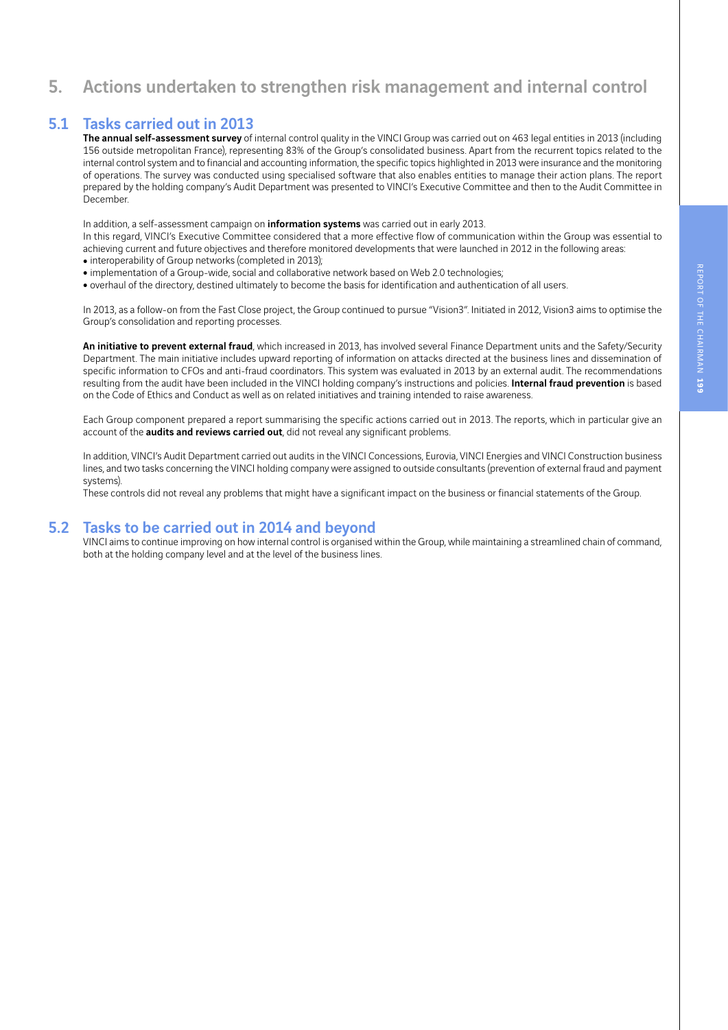# REPORT OF THE CHAIRMAN

## 5. Actions undertaken to strengthen risk management and internal control

#### 5.1 Tasks carried out in 2013

The annual self-assessment survey of internal control quality in the VINCI Group was carried out on 463 legal entities in 2013 (including 156 outside metropolitan France), representing 83% of the Group's consolidated business. Apart from the recurrent topics related to the internal control system and to financial and accounting information, the specific topics highlighted in 2013 were insurance and the monitoring of operations. The survey was conducted using specialised software that also enables entities to manage their action plans. The report prepared by the holding company's Audit Department was presented to VINCI's Executive Committee and then to the Audit Committee in December.

In addition, a self-assessment campaign on **information systems** was carried out in early 2013.

In this regard, VINCI's Executive Committee considered that a more effective flow of communication within the Group was essential to achieving current and future objectives and therefore monitored developments that were launched in 2012 in the following areas:

- interoperability of Group networks (completed in 2013);
- implementation of a Group-wide, social and collaborative network based on Web 2.0 technologies;
- overhaul of the directory, destined ultimately to become the basis for identification and authentication of all users.

In 2013, as a follow-on from the Fast Close project, the Group continued to pursue "Vision3". Initiated in 2012, Vision3 aims to optimise the Group's consolidation and reporting processes.

An initiative to prevent external fraud, which increased in 2013, has involved several Finance Department units and the Safety/Security Department. The main initiative includes upward reporting of information on attacks directed at the business lines and dissemination of specific information to CFOs and anti-fraud coordinators. This system was evaluated in 2013 by an external audit. The recommendations resulting from the audit have been included in the VINCI holding company's instructions and policies. Internal fraud prevention is based on the Code of Ethics and Conduct as well as on related initiatives and training intended to raise awareness.

Each Group component prepared a report summarising the specific actions carried out in 2013. The reports, which in particular give an account of the audits and reviews carried out, did not reveal any significant problems.

In addition, VINCI's Audit Department carried out audits in the VINCI Concessions, Eurovia, VINCI Energies and VINCI Construction business lines, and two tasks concerning the VINCI holding company were assigned to outside consultants (prevention of external fraud and payment systems).

These controls did not reveal any problems that might have a significant impact on the business or financial statements of the Group.

#### 5.2 Tasks to be carried out in 2014 and beyond

VINCI aims to continue improving on how internal control is organised within the Group, while maintaining a streamlined chain of command, both at the holding company level and at the level of the business lines.